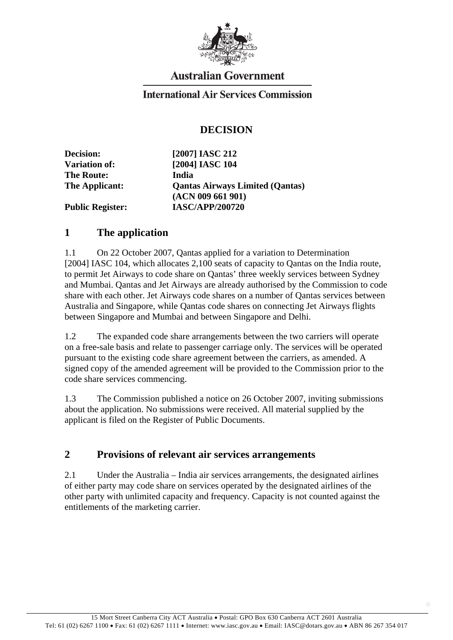

# **Australian Government**

#### **International Air Services Commission**

## **DECISION**

**Decision: [2007] IASC 212 Variation of: [2004] IASC 104 The Route: India The Applicant: Qantas Airways Limited (Qantas) (ACN 009 661 901) Public Register: IASC/APP/200720** 

#### **1 The application**

1.1 On 22 October 2007, Qantas applied for a variation to Determination [2004] IASC 104, which allocates 2,100 seats of capacity to Oantas on the India route, to permit Jet Airways to code share on Qantas' three weekly services between Sydney and Mumbai. Qantas and Jet Airways are already authorised by the Commission to code share with each other. Jet Airways code shares on a number of Qantas services between Australia and Singapore, while Qantas code shares on connecting Jet Airways flights between Singapore and Mumbai and between Singapore and Delhi.

1.2 The expanded code share arrangements between the two carriers will operate on a free-sale basis and relate to passenger carriage only. The services will be operated pursuant to the existing code share agreement between the carriers, as amended. A signed copy of the amended agreement will be provided to the Commission prior to the code share services commencing.

1.3 The Commission published a notice on 26 October 2007, inviting submissions about the application. No submissions were received. All material supplied by the applicant is filed on the Register of Public Documents.

#### **2 Provisions of relevant air services arrangements**

2.1 Under the Australia – India air services arrangements, the designated airlines of either party may code share on services operated by the designated airlines of the other party with unlimited capacity and frequency. Capacity is not counted against the entitlements of the marketing carrier.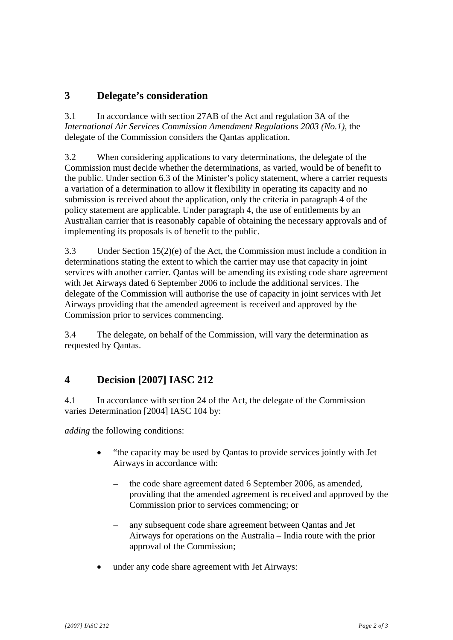## **3 Delegate's consideration**

3.1 In accordance with section 27AB of the Act and regulation 3A of the *International Air Services Commission Amendment Regulations 2003 (No.1)*, the delegate of the Commission considers the Qantas application.

3.2 When considering applications to vary determinations, the delegate of the Commission must decide whether the determinations, as varied, would be of benefit to the public. Under section 6.3 of the Minister's policy statement, where a carrier requests a variation of a determination to allow it flexibility in operating its capacity and no submission is received about the application, only the criteria in paragraph 4 of the policy statement are applicable. Under paragraph 4, the use of entitlements by an Australian carrier that is reasonably capable of obtaining the necessary approvals and of implementing its proposals is of benefit to the public.

3.3 Under Section 15(2)(e) of the Act, the Commission must include a condition in determinations stating the extent to which the carrier may use that capacity in joint services with another carrier. Qantas will be amending its existing code share agreement with Jet Airways dated 6 September 2006 to include the additional services. The delegate of the Commission will authorise the use of capacity in joint services with Jet Airways providing that the amended agreement is received and approved by the Commission prior to services commencing.

3.4 The delegate, on behalf of the Commission, will vary the determination as requested by Qantas.

# **4 Decision [2007] IASC 212**

4.1 In accordance with section 24 of the Act, the delegate of the Commission varies Determination [2004] IASC 104 by:

*adding* the following conditions:

- "the capacity may be used by Qantas to provide services jointly with Jet Airways in accordance with:
	- the code share agreement dated 6 September 2006, as amended, providing that the amended agreement is received and approved by the Commission prior to services commencing; or
	- any subsequent code share agreement between Qantas and Jet Airways for operations on the Australia – India route with the prior approval of the Commission;
- under any code share agreement with Jet Airways: